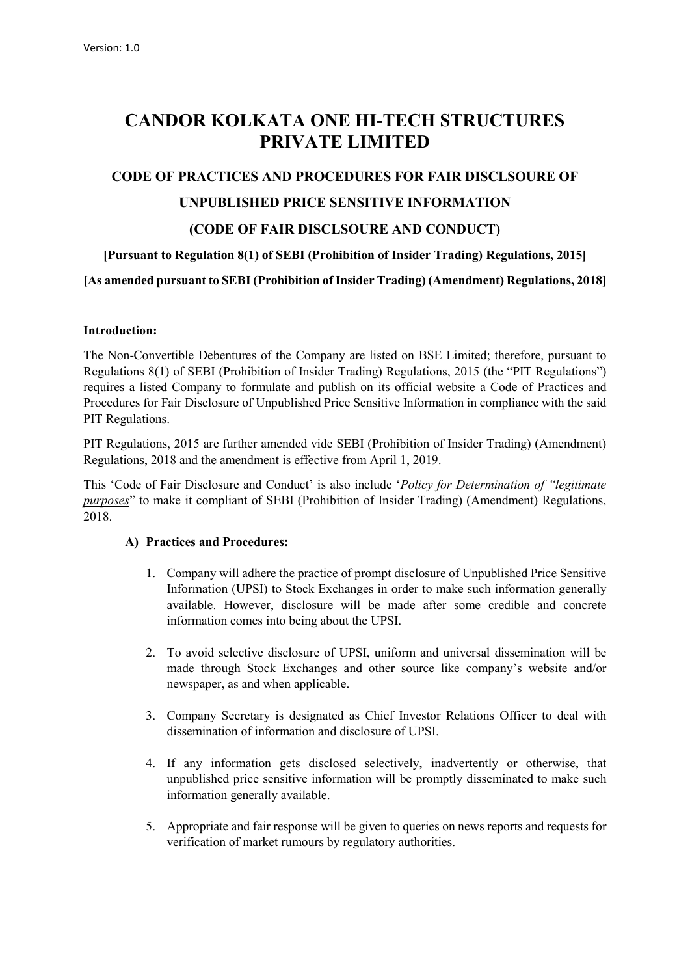## CANDOR KOLKATA ONE HI-TECH STRUCTURES PRIVATE LIMITED

# CODE OF PRACTICES AND PROCEDURES FOR FAIR DISCLSOURE OF UNPUBLISHED PRICE SENSITIVE INFORMATION (CODE OF FAIR DISCLSOURE AND CONDUCT)

## [Pursuant to Regulation 8(1) of SEBI (Prohibition of Insider Trading) Regulations, 2015]

[As amended pursuant to SEBI (Prohibition of Insider Trading) (Amendment) Regulations, 2018]

#### Introduction:

The Non-Convertible Debentures of the Company are listed on BSE Limited; therefore, pursuant to Regulations 8(1) of SEBI (Prohibition of Insider Trading) Regulations, 2015 (the "PIT Regulations") requires a listed Company to formulate and publish on its official website a Code of Practices and Procedures for Fair Disclosure of Unpublished Price Sensitive Information in compliance with the said PIT Regulations.

PIT Regulations, 2015 are further amended vide SEBI (Prohibition of Insider Trading) (Amendment) Regulations, 2018 and the amendment is effective from April 1, 2019.

This 'Code of Fair Disclosure and Conduct' is also include '*Policy for Determination of "legitimate*" purposes" to make it compliant of SEBI (Prohibition of Insider Trading) (Amendment) Regulations, 2018.

### A) Practices and Procedures:

- 1. Company will adhere the practice of prompt disclosure of Unpublished Price Sensitive Information (UPSI) to Stock Exchanges in order to make such information generally available. However, disclosure will be made after some credible and concrete information comes into being about the UPSI.
- 2. To avoid selective disclosure of UPSI, uniform and universal dissemination will be made through Stock Exchanges and other source like company's website and/or newspaper, as and when applicable.
- 3. Company Secretary is designated as Chief Investor Relations Officer to deal with dissemination of information and disclosure of UPSI.
- 4. If any information gets disclosed selectively, inadvertently or otherwise, that unpublished price sensitive information will be promptly disseminated to make such information generally available.
- 5. Appropriate and fair response will be given to queries on news reports and requests for verification of market rumours by regulatory authorities.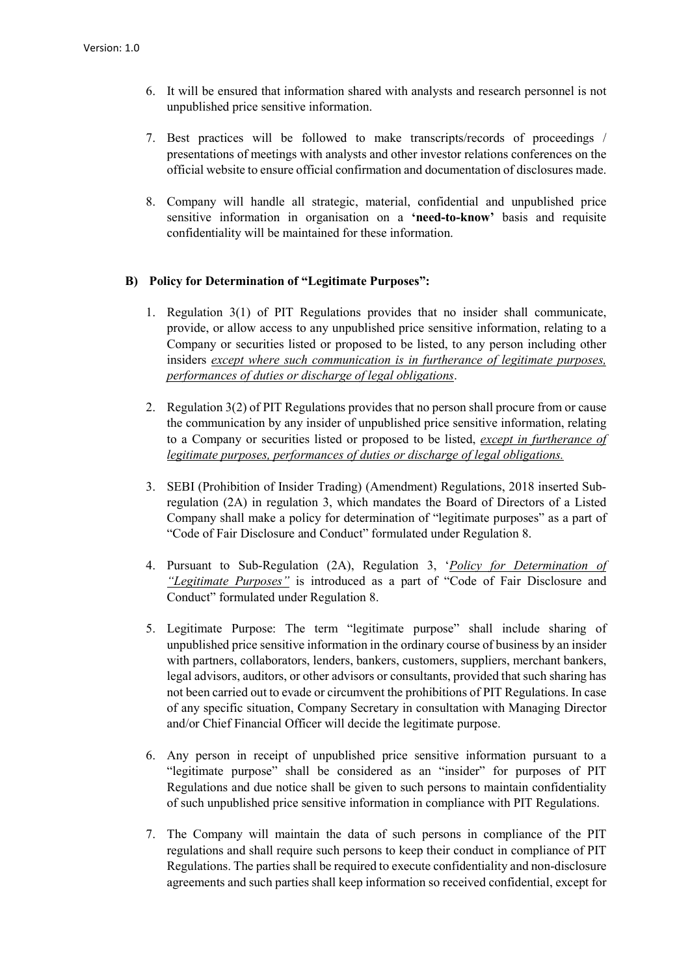- 6. It will be ensured that information shared with analysts and research personnel is not unpublished price sensitive information.
- 7. Best practices will be followed to make transcripts/records of proceedings / presentations of meetings with analysts and other investor relations conferences on the official website to ensure official confirmation and documentation of disclosures made.
- 8. Company will handle all strategic, material, confidential and unpublished price sensitive information in organisation on a 'need-to-know' basis and requisite confidentiality will be maintained for these information.

#### B) Policy for Determination of "Legitimate Purposes":

- 1. Regulation 3(1) of PIT Regulations provides that no insider shall communicate, provide, or allow access to any unpublished price sensitive information, relating to a Company or securities listed or proposed to be listed, to any person including other insiders except where such communication is in furtherance of legitimate purposes, performances of duties or discharge of legal obligations.
- 2. Regulation 3(2) of PIT Regulations provides that no person shall procure from or cause the communication by any insider of unpublished price sensitive information, relating to a Company or securities listed or proposed to be listed, except in furtherance of legitimate purposes, performances of duties or discharge of legal obligations.
- 3. SEBI (Prohibition of Insider Trading) (Amendment) Regulations, 2018 inserted Subregulation (2A) in regulation 3, which mandates the Board of Directors of a Listed Company shall make a policy for determination of "legitimate purposes" as a part of "Code of Fair Disclosure and Conduct" formulated under Regulation 8.
- 4. Pursuant to Sub-Regulation (2A), Regulation 3, 'Policy for Determination of "Legitimate Purposes" is introduced as a part of "Code of Fair Disclosure and Conduct" formulated under Regulation 8.
- 5. Legitimate Purpose: The term "legitimate purpose" shall include sharing of unpublished price sensitive information in the ordinary course of business by an insider with partners, collaborators, lenders, bankers, customers, suppliers, merchant bankers, legal advisors, auditors, or other advisors or consultants, provided that such sharing has not been carried out to evade or circumvent the prohibitions of PIT Regulations. In case of any specific situation, Company Secretary in consultation with Managing Director and/or Chief Financial Officer will decide the legitimate purpose.
- 6. Any person in receipt of unpublished price sensitive information pursuant to a "legitimate purpose" shall be considered as an "insider" for purposes of PIT Regulations and due notice shall be given to such persons to maintain confidentiality of such unpublished price sensitive information in compliance with PIT Regulations.
- 7. The Company will maintain the data of such persons in compliance of the PIT regulations and shall require such persons to keep their conduct in compliance of PIT Regulations. The parties shall be required to execute confidentiality and non-disclosure agreements and such parties shall keep information so received confidential, except for